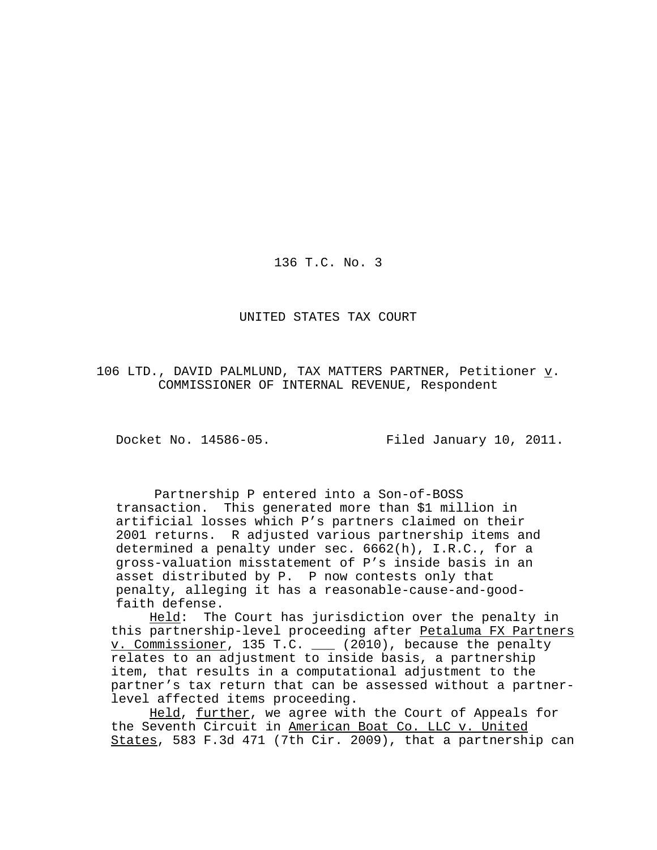136 T.C. No. 3

UNITED STATES TAX COURT

106 LTD., DAVID PALMLUND, TAX MATTERS PARTNER, Petitioner  $\underline{v}$ . COMMISSIONER OF INTERNAL REVENUE, Respondent

Docket No. 14586-05. Filed January 10, 2011.

 Partnership P entered into a Son-of-BOSS transaction. This generated more than \$1 million in artificial losses which P's partners claimed on their 2001 returns. R adjusted various partnership items and determined a penalty under sec. 6662(h), I.R.C., for a gross-valuation misstatement of P's inside basis in an asset distributed by P. P now contests only that penalty, alleging it has a reasonable-cause-and-goodfaith defense.

Held: The Court has jurisdiction over the penalty in this partnership-level proceeding after Petaluma FX Partners v. Commissioner, 135 T.C. (2010), because the penalty relates to an adjustment to inside basis, a partnership item, that results in a computational adjustment to the partner's tax return that can be assessed without a partnerlevel affected items proceeding.

Held, further, we agree with the Court of Appeals for the Seventh Circuit in American Boat Co. LLC v. United States, 583 F.3d 471 (7th Cir. 2009), that a partnership can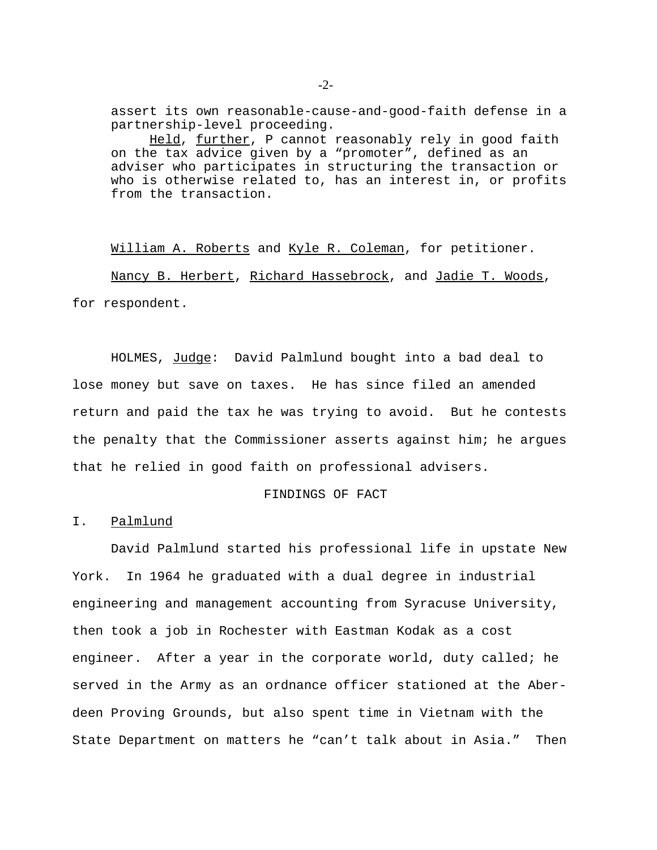assert its own reasonable-cause-and-good-faith defense in a partnership-level proceeding.

Held, further, P cannot reasonably rely in good faith on the tax advice given by a "promoter", defined as an adviser who participates in structuring the transaction or who is otherwise related to, has an interest in, or profits from the transaction.

William A. Roberts and Kyle R. Coleman, for petitioner. Nancy B. Herbert, Richard Hassebrock, and Jadie T. Woods, for respondent.

HOLMES, Judge: David Palmlund bought into a bad deal to lose money but save on taxes. He has since filed an amended return and paid the tax he was trying to avoid. But he contests the penalty that the Commissioner asserts against him; he argues that he relied in good faith on professional advisers.

#### FINDINGS OF FACT

I. Palmlund

David Palmlund started his professional life in upstate New York. In 1964 he graduated with a dual degree in industrial engineering and management accounting from Syracuse University, then took a job in Rochester with Eastman Kodak as a cost engineer. After a year in the corporate world, duty called; he served in the Army as an ordnance officer stationed at the Aberdeen Proving Grounds, but also spent time in Vietnam with the State Department on matters he "can't talk about in Asia." Then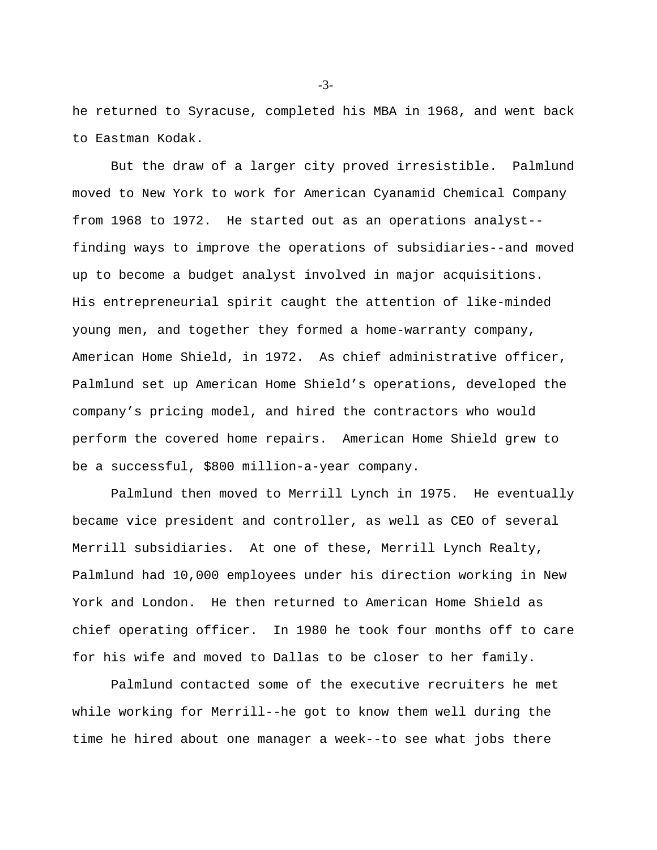he returned to Syracuse, completed his MBA in 1968, and went back to Eastman Kodak.

But the draw of a larger city proved irresistible. Palmlund moved to New York to work for American Cyanamid Chemical Company from 1968 to 1972. He started out as an operations analyst- finding ways to improve the operations of subsidiaries--and moved up to become a budget analyst involved in major acquisitions. His entrepreneurial spirit caught the attention of like-minded young men, and together they formed a home-warranty company, American Home Shield, in 1972. As chief administrative officer, Palmlund set up American Home Shield's operations, developed the company's pricing model, and hired the contractors who would perform the covered home repairs. American Home Shield grew to be a successful, \$800 million-a-year company.

Palmlund then moved to Merrill Lynch in 1975. He eventually became vice president and controller, as well as CEO of several Merrill subsidiaries. At one of these, Merrill Lynch Realty, Palmlund had 10,000 employees under his direction working in New York and London. He then returned to American Home Shield as chief operating officer. In 1980 he took four months off to care for his wife and moved to Dallas to be closer to her family.

Palmlund contacted some of the executive recruiters he met while working for Merrill--he got to know them well during the time he hired about one manager a week--to see what jobs there

-3-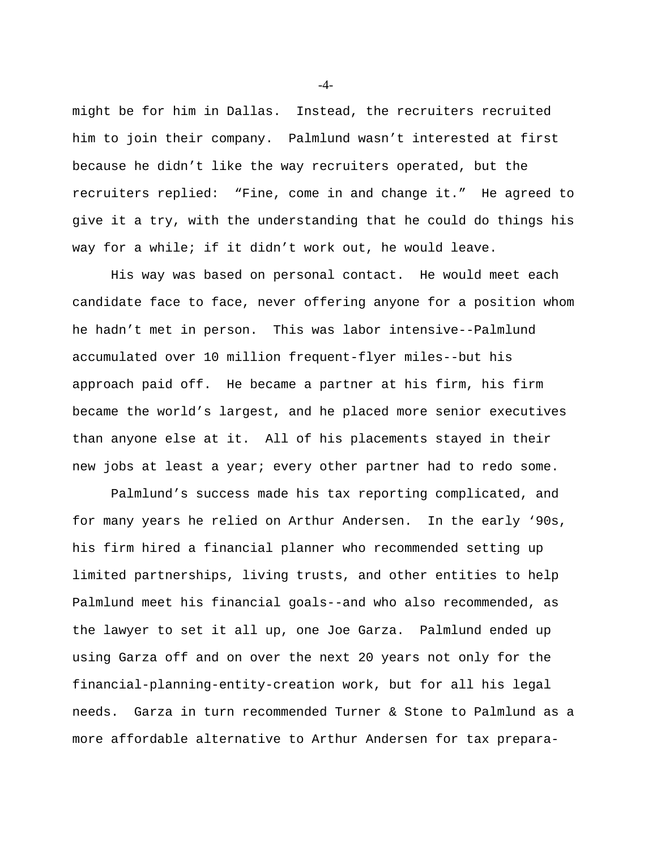might be for him in Dallas. Instead, the recruiters recruited him to join their company. Palmlund wasn't interested at first because he didn't like the way recruiters operated, but the recruiters replied: "Fine, come in and change it." He agreed to give it a try, with the understanding that he could do things his way for a while; if it didn't work out, he would leave.

His way was based on personal contact. He would meet each candidate face to face, never offering anyone for a position whom he hadn't met in person. This was labor intensive--Palmlund accumulated over 10 million frequent-flyer miles--but his approach paid off. He became a partner at his firm, his firm became the world's largest, and he placed more senior executives than anyone else at it. All of his placements stayed in their new jobs at least a year; every other partner had to redo some.

Palmlund's success made his tax reporting complicated, and for many years he relied on Arthur Andersen. In the early '90s, his firm hired a financial planner who recommended setting up limited partnerships, living trusts, and other entities to help Palmlund meet his financial goals--and who also recommended, as the lawyer to set it all up, one Joe Garza. Palmlund ended up using Garza off and on over the next 20 years not only for the financial-planning-entity-creation work, but for all his legal needs. Garza in turn recommended Turner & Stone to Palmlund as a more affordable alternative to Arthur Andersen for tax prepara-

-4-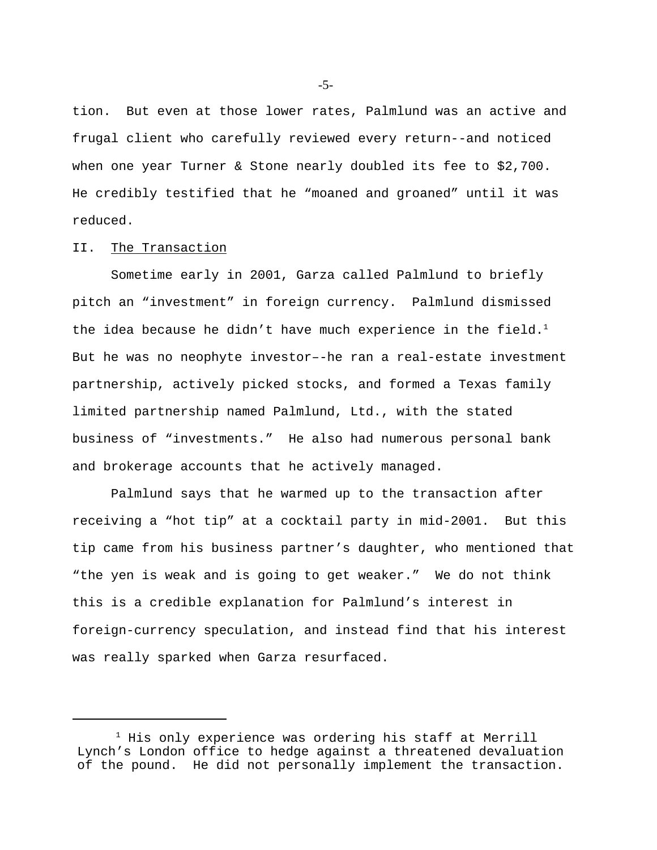tion. But even at those lower rates, Palmlund was an active and frugal client who carefully reviewed every return--and noticed when one year Turner & Stone nearly doubled its fee to \$2,700. He credibly testified that he "moaned and groaned" until it was reduced.

## II. The Transaction

Sometime early in 2001, Garza called Palmlund to briefly pitch an "investment" in foreign currency. Palmlund dismissed the idea because he didn't have much experience in the field. $1$ But he was no neophyte investor–-he ran a real-estate investment partnership, actively picked stocks, and formed a Texas family limited partnership named Palmlund, Ltd., with the stated business of "investments." He also had numerous personal bank and brokerage accounts that he actively managed.

Palmlund says that he warmed up to the transaction after receiving a "hot tip" at a cocktail party in mid-2001. But this tip came from his business partner's daughter, who mentioned that "the yen is weak and is going to get weaker." We do not think this is a credible explanation for Palmlund's interest in foreign-currency speculation, and instead find that his interest was really sparked when Garza resurfaced.

-5-

 $1$  His only experience was ordering his staff at Merrill Lynch's London office to hedge against a threatened devaluation of the pound. He did not personally implement the transaction.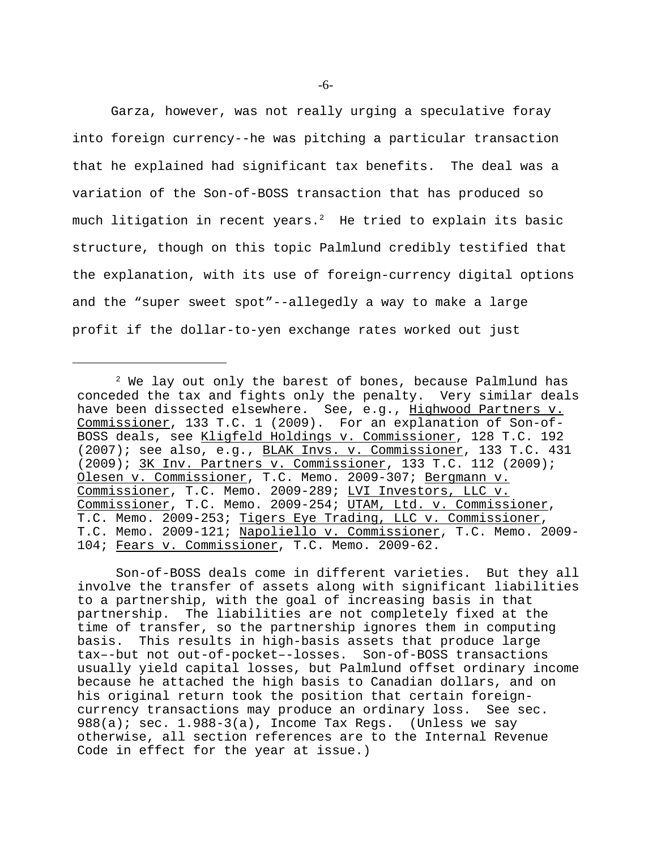Garza, however, was not really urging a speculative foray into foreign currency--he was pitching a particular transaction that he explained had significant tax benefits. The deal was a variation of the Son-of-BOSS transaction that has produced so much litigation in recent years.<sup>2</sup> He tried to explain its basic structure, though on this topic Palmlund credibly testified that the explanation, with its use of foreign-currency digital options and the "super sweet spot"--allegedly a way to make a large profit if the dollar-to-yen exchange rates worked out just

Son-of-BOSS deals come in different varieties. But they all involve the transfer of assets along with significant liabilities to a partnership, with the goal of increasing basis in that partnership. The liabilities are not completely fixed at the time of transfer, so the partnership ignores them in computing basis. This results in high-basis assets that produce large tax–-but not out-of-pocket–-losses. Son-of-BOSS transactions usually yield capital losses, but Palmlund offset ordinary income because he attached the high basis to Canadian dollars, and on his original return took the position that certain foreigncurrency transactions may produce an ordinary loss. See sec.  $988(a)$ ; sec. 1.988-3(a), Income Tax Regs. (Unless we say otherwise, all section references are to the Internal Revenue Code in effect for the year at issue.)

 $2$  We lay out only the barest of bones, because Palmlund has conceded the tax and fights only the penalty. Very similar deals have been dissected elsewhere. See, e.g., Highwood Partners v. Commissioner, 133 T.C. 1 (2009). For an explanation of Son-of-BOSS deals, see Kligfeld Holdings v. Commissioner, 128 T.C. 192 (2007); see also, e.g., BLAK Invs. v. Commissioner, 133 T.C. 431 (2009); 3K Inv. Partners v. Commissioner, 133 T.C. 112 (2009); Olesen v. Commissioner, T.C. Memo. 2009-307; Bergmann v. Commissioner, T.C. Memo. 2009-289; LVI Investors, LLC v. Commissioner, T.C. Memo. 2009-254; UTAM, Ltd. v. Commissioner, T.C. Memo. 2009-253; Tigers Eye Trading, LLC v. Commissioner, T.C. Memo. 2009-121; Napoliello v. Commissioner, T.C. Memo. 2009-104; Fears v. Commissioner, T.C. Memo. 2009-62.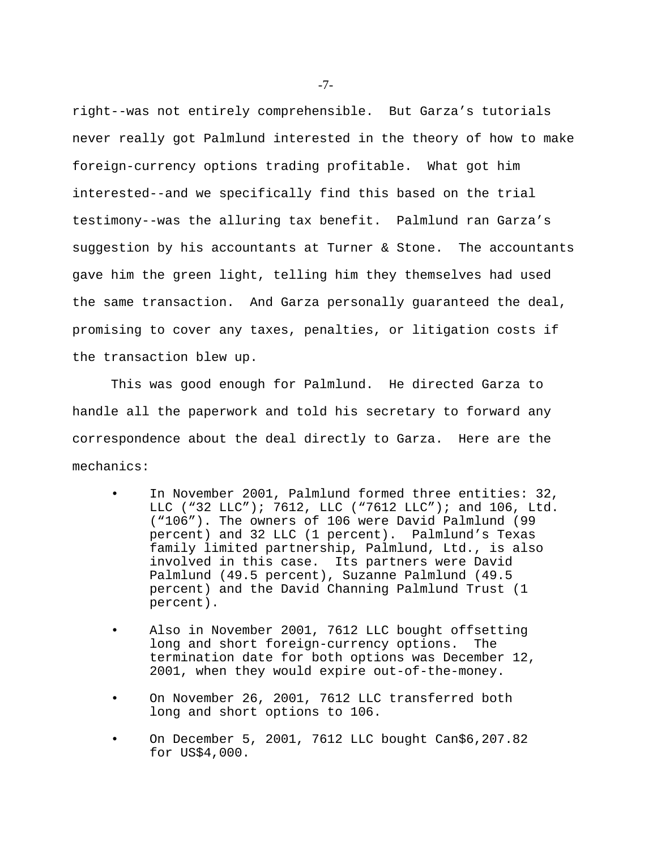right--was not entirely comprehensible. But Garza's tutorials never really got Palmlund interested in the theory of how to make foreign-currency options trading profitable. What got him interested--and we specifically find this based on the trial testimony--was the alluring tax benefit. Palmlund ran Garza's suggestion by his accountants at Turner & Stone. The accountants gave him the green light, telling him they themselves had used the same transaction. And Garza personally guaranteed the deal, promising to cover any taxes, penalties, or litigation costs if the transaction blew up.

This was good enough for Palmlund. He directed Garza to handle all the paperwork and told his secretary to forward any correspondence about the deal directly to Garza. Here are the mechanics:

- In November 2001, Palmlund formed three entities: 32, LLC ("32 LLC"); 7612, LLC ("7612 LLC"); and 106, Ltd. ("106"). The owners of 106 were David Palmlund (99 percent) and 32 LLC (1 percent). Palmlund's Texas family limited partnership, Palmlund, Ltd., is also involved in this case. Its partners were David Palmlund (49.5 percent), Suzanne Palmlund (49.5 percent) and the David Channing Palmlund Trust (1 percent).
- Also in November 2001, 7612 LLC bought offsetting long and short foreign-currency options. The termination date for both options was December 12, 2001, when they would expire out-of-the-money.
- On November 26, 2001, 7612 LLC transferred both long and short options to 106.
- On December 5, 2001, 7612 LLC bought Can\$6,207.82 for US\$4,000.

-7-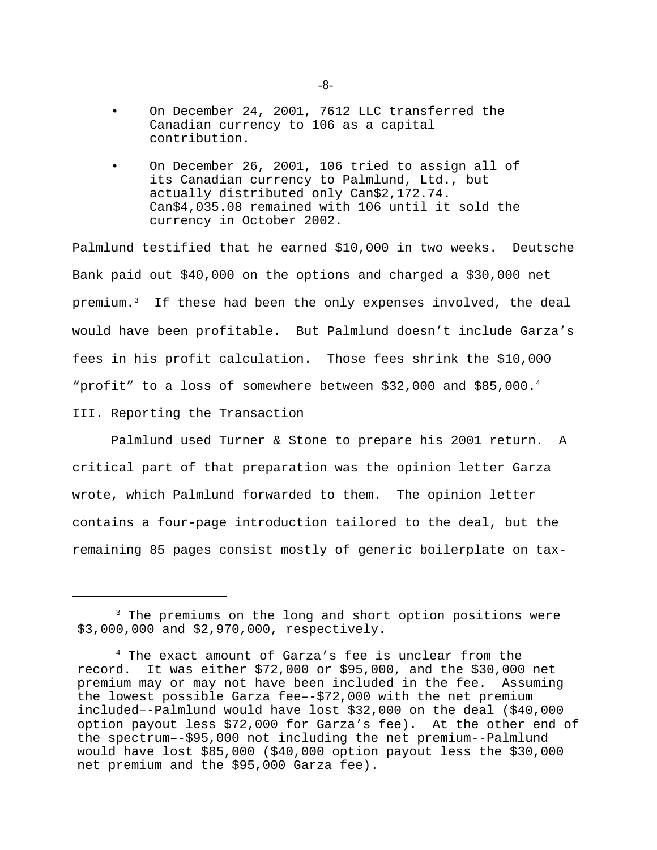- On December 24, 2001, 7612 LLC transferred the Canadian currency to 106 as a capital contribution.
- On December 26, 2001, 106 tried to assign all of its Canadian currency to Palmlund, Ltd., but actually distributed only Can\$2,172.74. Can\$4,035.08 remained with 106 until it sold the currency in October 2002.

Palmlund testified that he earned \$10,000 in two weeks. Deutsche Bank paid out \$40,000 on the options and charged a \$30,000 net premium.<sup>3</sup>If these had been the only expenses involved, the deal would have been profitable. But Palmlund doesn't include Garza's fees in his profit calculation. Those fees shrink the \$10,000 "profit" to a loss of somewhere between  $$32,000$  and  $$85,000.^4$ 

## III. Reporting the Transaction

Palmlund used Turner & Stone to prepare his 2001 return. A critical part of that preparation was the opinion letter Garza wrote, which Palmlund forwarded to them. The opinion letter contains a four-page introduction tailored to the deal, but the remaining 85 pages consist mostly of generic boilerplate on tax-

<sup>&</sup>lt;sup>3</sup> The premiums on the long and short option positions were \$3,000,000 and \$2,970,000, respectively.

<sup>4</sup> The exact amount of Garza's fee is unclear from the record. It was either \$72,000 or \$95,000, and the \$30,000 net premium may or may not have been included in the fee. Assuming the lowest possible Garza fee–-\$72,000 with the net premium included–-Palmlund would have lost \$32,000 on the deal (\$40,000 option payout less \$72,000 for Garza's fee). At the other end of the spectrum–-\$95,000 not including the net premium--Palmlund would have lost \$85,000 (\$40,000 option payout less the \$30,000 net premium and the \$95,000 Garza fee).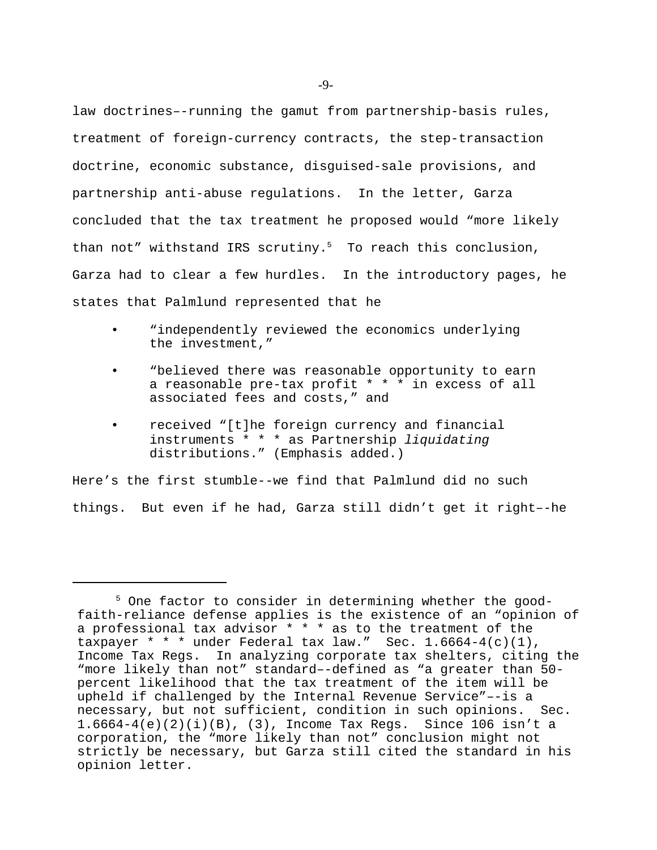law doctrines–-running the gamut from partnership-basis rules, treatment of foreign-currency contracts, the step-transaction doctrine, economic substance, disguised-sale provisions, and partnership anti-abuse regulations. In the letter, Garza concluded that the tax treatment he proposed would "more likely than not" withstand IRS scrutiny. $5$  To reach this conclusion, Garza had to clear a few hurdles. In the introductory pages, he states that Palmlund represented that he

- "independently reviewed the economics underlying the investment,"
- "believed there was reasonable opportunity to earn a reasonable pre-tax profit \* \* \* in excess of all associated fees and costs," and
- received "[t]he foreign currency and financial instruments \* \* \* as Partnership *liquidating* distributions." (Emphasis added.)

Here's the first stumble--we find that Palmlund did no such things. But even if he had, Garza still didn't get it right–-he

<sup>5</sup> One factor to consider in determining whether the goodfaith-reliance defense applies is the existence of an "opinion of a professional tax advisor \* \* \* as to the treatment of the taxpayer  $* * *$  under Federal tax law." Sec.  $1.6664-4(c)(1)$ , Income Tax Regs. In analyzing corporate tax shelters, citing the "more likely than not" standard–-defined as "a greater than 50 percent likelihood that the tax treatment of the item will be upheld if challenged by the Internal Revenue Service"–-is a necessary, but not sufficient, condition in such opinions. Sec. 1.6664-4(e)(2)(i)(B), (3), Income Tax Regs. Since 106 isn't a corporation, the "more likely than not" conclusion might not strictly be necessary, but Garza still cited the standard in his opinion letter.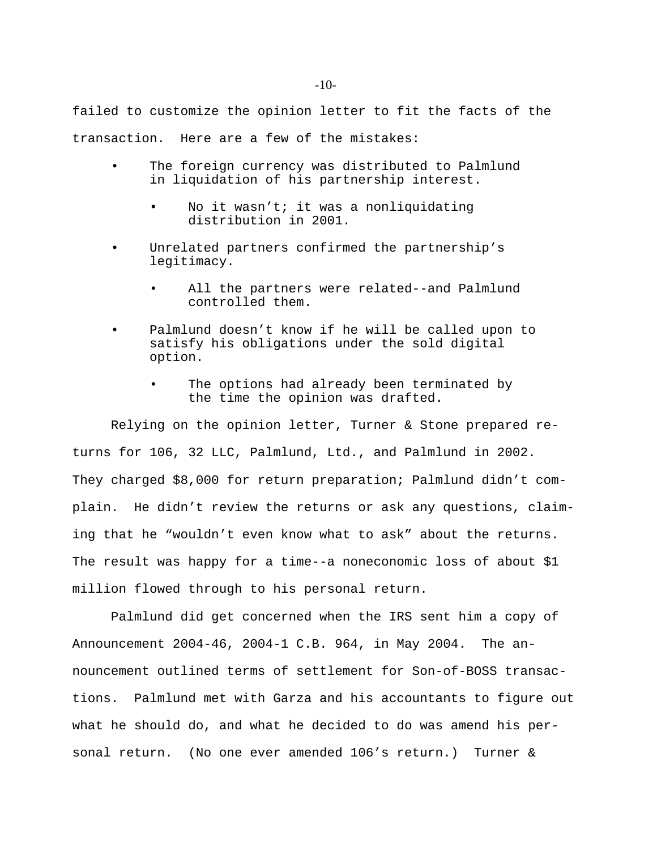failed to customize the opinion letter to fit the facts of the transaction. Here are a few of the mistakes:

- The foreign currency was distributed to Palmlund in liquidation of his partnership interest.
	- No it wasn't; it was a nonliquidating distribution in 2001.
- Unrelated partners confirmed the partnership's legitimacy.
	- All the partners were related--and Palmlund controlled them.
- Palmlund doesn't know if he will be called upon to satisfy his obligations under the sold digital option.
	- The options had already been terminated by the time the opinion was drafted.

Relying on the opinion letter, Turner & Stone prepared returns for 106, 32 LLC, Palmlund, Ltd., and Palmlund in 2002. They charged \$8,000 for return preparation; Palmlund didn't complain. He didn't review the returns or ask any questions, claiming that he "wouldn't even know what to ask" about the returns. The result was happy for a time--a noneconomic loss of about \$1 million flowed through to his personal return.

Palmlund did get concerned when the IRS sent him a copy of Announcement 2004-46, 2004-1 C.B. 964, in May 2004. The announcement outlined terms of settlement for Son-of-BOSS transactions. Palmlund met with Garza and his accountants to figure out what he should do, and what he decided to do was amend his personal return. (No one ever amended 106's return.) Turner &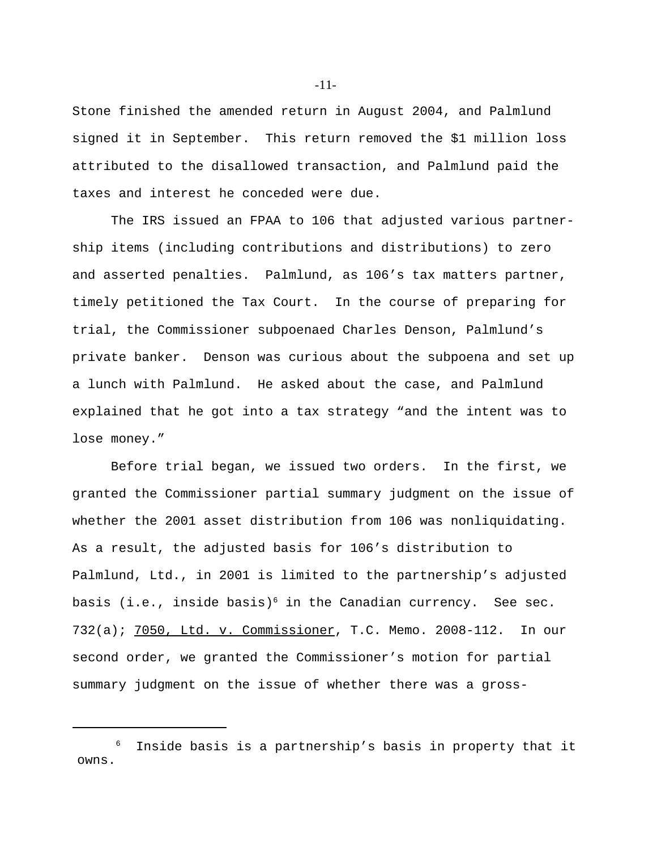Stone finished the amended return in August 2004, and Palmlund signed it in September. This return removed the \$1 million loss attributed to the disallowed transaction, and Palmlund paid the taxes and interest he conceded were due.

The IRS issued an FPAA to 106 that adjusted various partnership items (including contributions and distributions) to zero and asserted penalties. Palmlund, as 106's tax matters partner, timely petitioned the Tax Court. In the course of preparing for trial, the Commissioner subpoenaed Charles Denson, Palmlund's private banker. Denson was curious about the subpoena and set up a lunch with Palmlund. He asked about the case, and Palmlund explained that he got into a tax strategy "and the intent was to lose money."

Before trial began, we issued two orders. In the first, we granted the Commissioner partial summary judgment on the issue of whether the 2001 asset distribution from 106 was nonliquidating. As a result, the adjusted basis for 106's distribution to Palmlund, Ltd., in 2001 is limited to the partnership's adjusted basis (i.e., inside basis)<sup>6</sup> in the Canadian currency. See sec. 732(a); 7050, Ltd. v. Commissioner, T.C. Memo. 2008-112. In our second order, we granted the Commissioner's motion for partial summary judgment on the issue of whether there was a gross-

-11-

<sup>6</sup> Inside basis is a partnership's basis in property that it owns.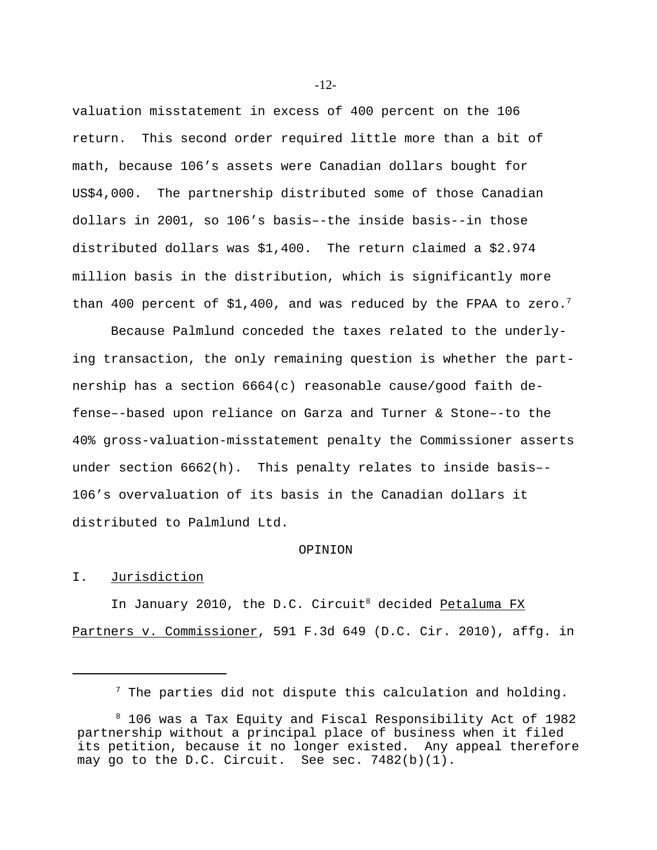valuation misstatement in excess of 400 percent on the 106 return. This second order required little more than a bit of math, because 106's assets were Canadian dollars bought for US\$4,000. The partnership distributed some of those Canadian dollars in 2001, so 106's basis–-the inside basis--in those distributed dollars was \$1,400.The return claimed a \$2.974 million basis in the distribution, which is significantly more than 400 percent of  $$1,400$ , and was reduced by the FPAA to zero.<sup>7</sup>

Because Palmlund conceded the taxes related to the underlying transaction, the only remaining question is whether the partnership has a section 6664(c) reasonable cause/good faith defense–-based upon reliance on Garza and Turner & Stone–-to the 40% gross-valuation-misstatement penalty the Commissioner asserts under section 6662(h). This penalty relates to inside basis–- 106's overvaluation of its basis in the Canadian dollars it distributed to Palmlund Ltd.

#### OPINION

## I. Jurisdiction

In January 2010, the D.C. Circuit<sup>8</sup> decided Petaluma FX Partners v. Commissioner, 591 F.3d 649 (D.C. Cir. 2010), affg. in

-12-

 $7$  The parties did not dispute this calculation and holding.

<sup>8</sup> 106 was a Tax Equity and Fiscal Responsibility Act of 1982 partnership without a principal place of business when it filed its petition, because it no longer existed. Any appeal therefore may go to the D.C. Circuit. See sec. 7482(b)(1).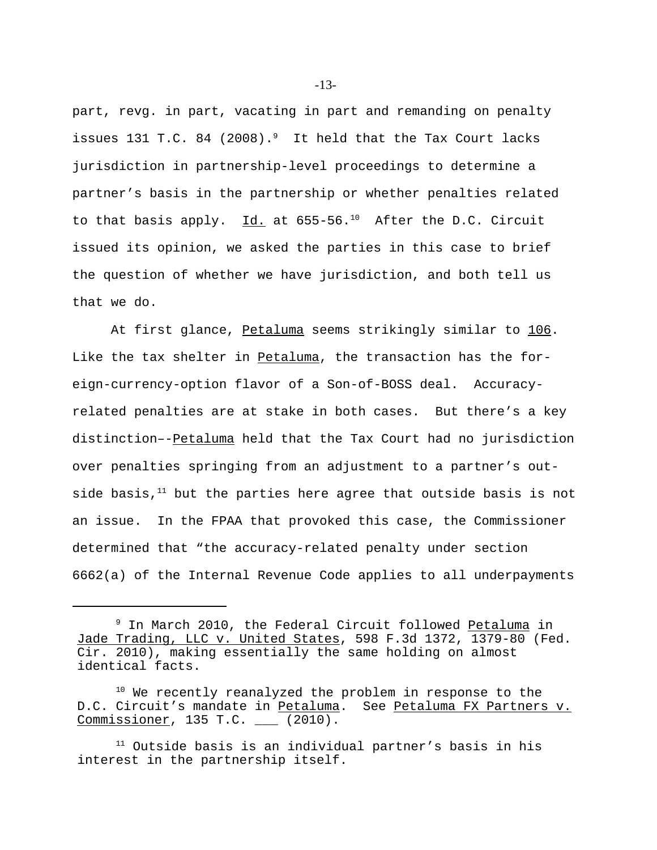part, revg. in part, vacating in part and remanding on penalty issues 131 T.C. 84 (2008).<sup>9</sup> It held that the Tax Court lacks jurisdiction in partnership-level proceedings to determine a partner's basis in the partnership or whether penalties related to that basis apply.  $Id.$  at 655-56.<sup>10</sup> After the D.C. Circuit issued its opinion, we asked the parties in this case to brief the question of whether we have jurisdiction, and both tell us that we do.

At first glance, Petaluma seems strikingly similar to 106. Like the tax shelter in Petaluma, the transaction has the foreign-currency-option flavor of a Son-of-BOSS deal. Accuracyrelated penalties are at stake in both cases. But there's a key distinction–-Petaluma held that the Tax Court had no jurisdiction over penalties springing from an adjustment to a partner's outside basis, $11$  but the parties here agree that outside basis is not an issue. In the FPAA that provoked this case, the Commissioner determined that "the accuracy-related penalty under section 6662(a) of the Internal Revenue Code applies to all underpayments

<sup>&</sup>lt;sup>9</sup> In March 2010, the Federal Circuit followed Petaluma in Jade Trading, LLC v. United States, 598 F.3d 1372, 1379-80 (Fed. Cir. 2010), making essentially the same holding on almost identical facts.

<sup>&</sup>lt;sup>10</sup> We recently reanalyzed the problem in response to the D.C. Circuit's mandate in Petaluma. See Petaluma FX Partners v. Commissioner, 135 T.C. \_\_\_ (2010).

 $11$  Outside basis is an individual partner's basis in his interest in the partnership itself.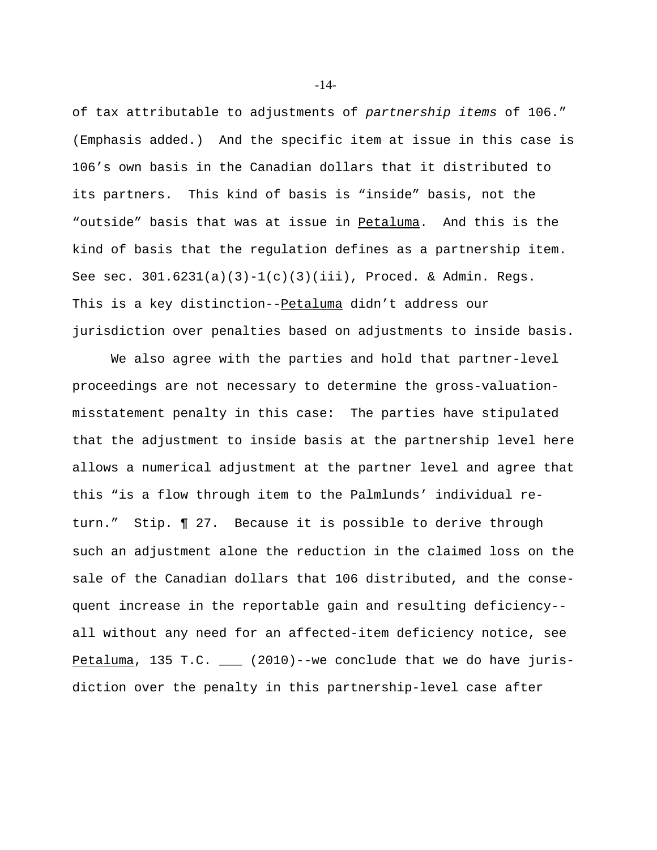of tax attributable to adjustments of *partnership items* of 106." (Emphasis added.) And the specific item at issue in this case is 106's own basis in the Canadian dollars that it distributed to its partners. This kind of basis is "inside" basis, not the "outside" basis that was at issue in Petaluma. And this is the kind of basis that the regulation defines as a partnership item. See sec. 301.6231(a)(3)-1(c)(3)(iii), Proced. & Admin. Regs. This is a key distinction--Petaluma didn't address our jurisdiction over penalties based on adjustments to inside basis.

We also agree with the parties and hold that partner-level proceedings are not necessary to determine the gross-valuationmisstatement penalty in this case: The parties have stipulated that the adjustment to inside basis at the partnership level here allows a numerical adjustment at the partner level and agree that this "is a flow through item to the Palmlunds' individual return." Stip. **¶** 27. Because it is possible to derive through such an adjustment alone the reduction in the claimed loss on the sale of the Canadian dollars that 106 distributed, and the consequent increase in the reportable gain and resulting deficiency- all without any need for an affected-item deficiency notice, see Petaluma, 135 T.C. \_\_\_ (2010)--we conclude that we do have jurisdiction over the penalty in this partnership-level case after

-14-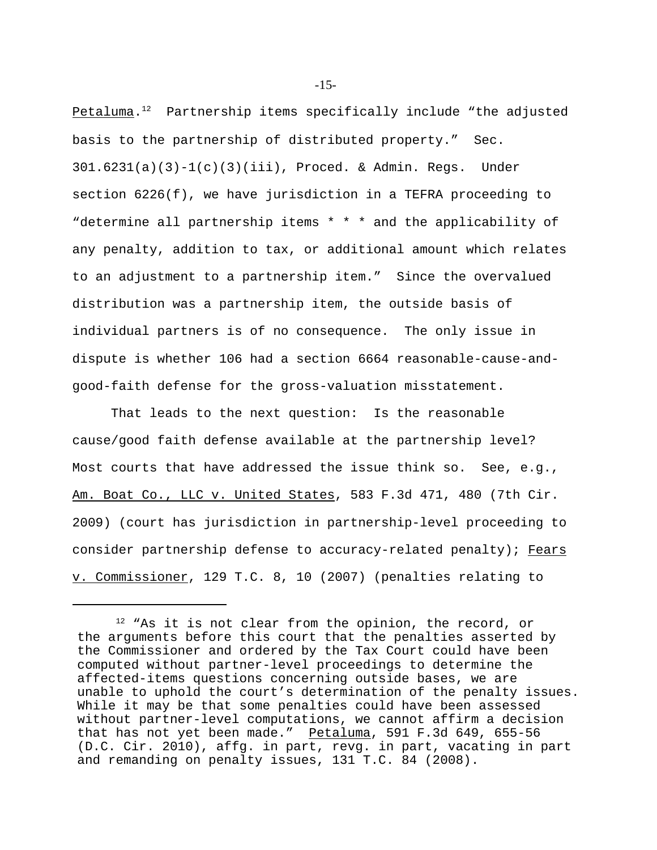Petaluma. <sup>12</sup>Partnership items specifically include "the adjusted basis to the partnership of distributed property." Sec.  $301.6231(a)(3)-1(c)(3)(iii)$ , Proced. & Admin. Regs. Under section 6226(f), we have jurisdiction in a TEFRA proceeding to "determine all partnership items \* \* \* and the applicability of any penalty, addition to tax, or additional amount which relates to an adjustment to a partnership item." Since the overvalued distribution was a partnership item, the outside basis of individual partners is of no consequence. The only issue in dispute is whether 106 had a section 6664 reasonable-cause-andgood-faith defense for the gross-valuation misstatement.

That leads to the next question: Is the reasonable cause/good faith defense available at the partnership level? Most courts that have addressed the issue think so. See, e.g., Am. Boat Co., LLC v. United States, 583 F.3d 471, 480 (7th Cir. 2009) (court has jurisdiction in partnership-level proceeding to consider partnership defense to accuracy-related penalty); Fears v. Commissioner, 129 T.C. 8, 10 (2007) (penalties relating to

-15-

<sup>&</sup>lt;sup>12</sup> "As it is not clear from the opinion, the record, or the arguments before this court that the penalties asserted by the Commissioner and ordered by the Tax Court could have been computed without partner-level proceedings to determine the affected-items questions concerning outside bases, we are unable to uphold the court's determination of the penalty issues. While it may be that some penalties could have been assessed without partner-level computations, we cannot affirm a decision that has not yet been made." Petaluma, 591 F.3d 649, 655-56 (D.C. Cir. 2010), affg. in part, revg. in part, vacating in part and remanding on penalty issues, 131 T.C. 84 (2008).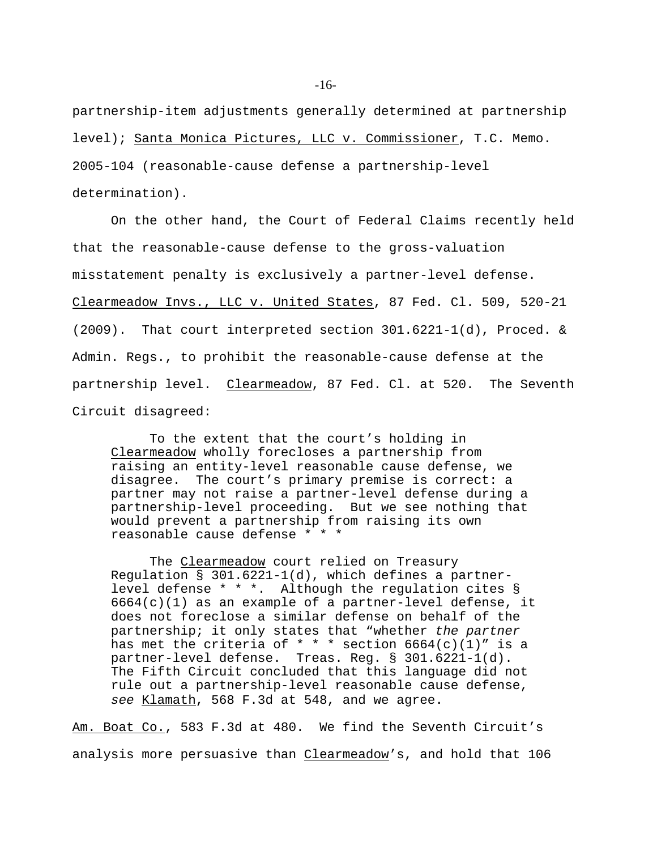partnership-item adjustments generally determined at partnership level); Santa Monica Pictures, LLC v. Commissioner, T.C. Memo. 2005-104 (reasonable-cause defense a partnership-level

determination).

On the other hand, the Court of Federal Claims recently held that the reasonable-cause defense to the gross-valuation misstatement penalty is exclusively a partner-level defense. Clearmeadow Invs., LLC v. United States, 87 Fed. Cl. 509, 520-21 (2009). That court interpreted section 301.6221-1(d), Proced. & Admin. Regs., to prohibit the reasonable-cause defense at the partnership level. Clearmeadow, 87 Fed. Cl. at 520. The Seventh Circuit disagreed:

To the extent that the court's holding in Clearmeadow wholly forecloses a partnership from raising an entity-level reasonable cause defense, we disagree. The court's primary premise is correct: a partner may not raise a partner-level defense during a partnership-level proceeding. But we see nothing that would prevent a partnership from raising its own reasonable cause defense \* \* \*

The Clearmeadow court relied on Treasury Regulation § 301.6221-1(d), which defines a partnerlevel defense \* \* \*. Although the regulation cites §  $6664(c)(1)$  as an example of a partner-level defense, it does not foreclose a similar defense on behalf of the partnership; it only states that "whether *the partner* has met the criteria of  $* * *$  section 6664(c)(1)" is a partner-level defense. Treas. Reg. § 301.6221-1(d). The Fifth Circuit concluded that this language did not rule out a partnership-level reasonable cause defense, *see* Klamath, 568 F.3d at 548, and we agree.

Am. Boat Co., 583 F.3d at 480. We find the Seventh Circuit's analysis more persuasive than Clearmeadow's, and hold that 106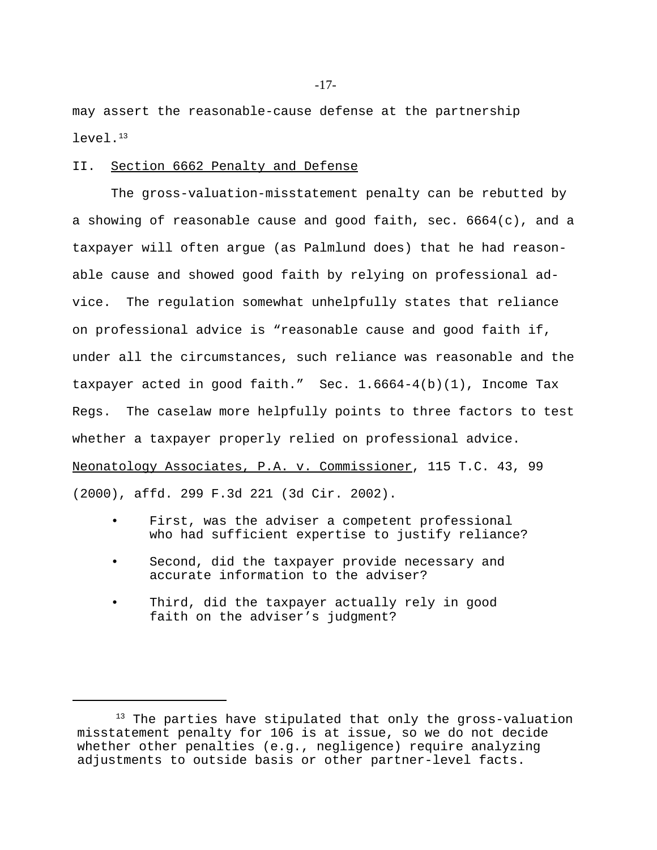may assert the reasonable-cause defense at the partnership  $l$ evel. $13$ 

## II. Section 6662 Penalty and Defense

The gross-valuation-misstatement penalty can be rebutted by a showing of reasonable cause and good faith, sec. 6664(c), and a taxpayer will often argue (as Palmlund does) that he had reasonable cause and showed good faith by relying on professional advice. The regulation somewhat unhelpfully states that reliance on professional advice is "reasonable cause and good faith if, under all the circumstances, such reliance was reasonable and the taxpayer acted in good faith." Sec. 1.6664-4(b)(1), Income Tax Regs. The caselaw more helpfully points to three factors to test whether a taxpayer properly relied on professional advice. Neonatology Associates, P.A. v. Commissioner, 115 T.C. 43, 99 (2000), affd. 299 F.3d 221 (3d Cir. 2002).

- First, was the adviser a competent professional who had sufficient expertise to justify reliance?
- Second, did the taxpayer provide necessary and accurate information to the adviser?
- Third, did the taxpayer actually rely in good faith on the adviser's judgment?

<sup>&</sup>lt;sup>13</sup> The parties have stipulated that only the gross-valuation misstatement penalty for 106 is at issue, so we do not decide whether other penalties (e.g., negligence) require analyzing adjustments to outside basis or other partner-level facts.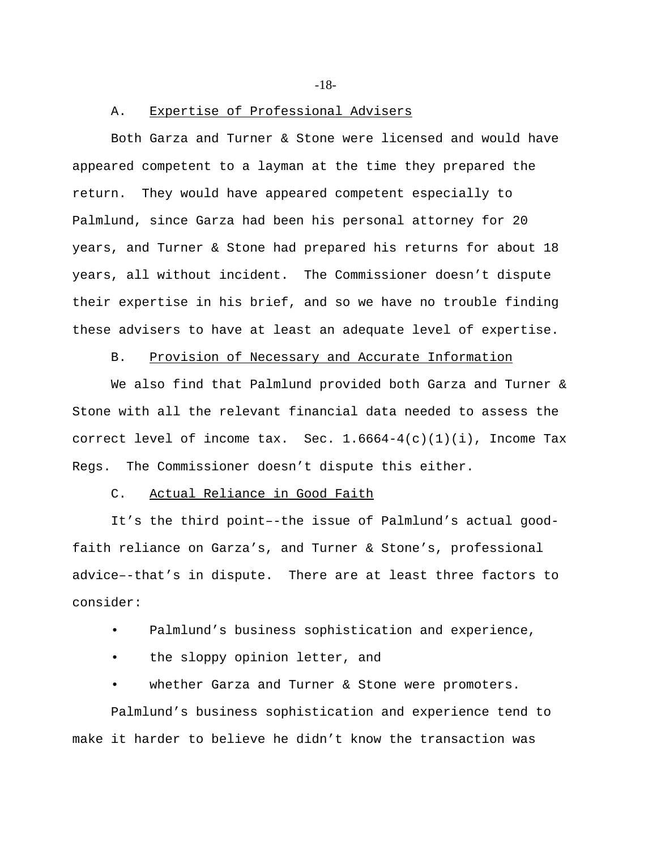-18-

#### A. Expertise of Professional Advisers

Both Garza and Turner & Stone were licensed and would have appeared competent to a layman at the time they prepared the return. They would have appeared competent especially to Palmlund, since Garza had been his personal attorney for 20 years, and Turner & Stone had prepared his returns for about 18 years, all without incident. The Commissioner doesn't dispute their expertise in his brief, and so we have no trouble finding these advisers to have at least an adequate level of expertise.

## B. Provision of Necessary and Accurate Information

We also find that Palmlund provided both Garza and Turner & Stone with all the relevant financial data needed to assess the correct level of income tax. Sec.  $1.6664-4(c)(1)(i)$ , Income Tax Regs. The Commissioner doesn't dispute this either.

### C. Actual Reliance in Good Faith

It's the third point–-the issue of Palmlund's actual goodfaith reliance on Garza's, and Turner & Stone's, professional advice–-that's in dispute. There are at least three factors to consider:

• Palmlund's business sophistication and experience,

• the sloppy opinion letter, and

whether Garza and Turner & Stone were promoters.

Palmlund's business sophistication and experience tend to make it harder to believe he didn't know the transaction was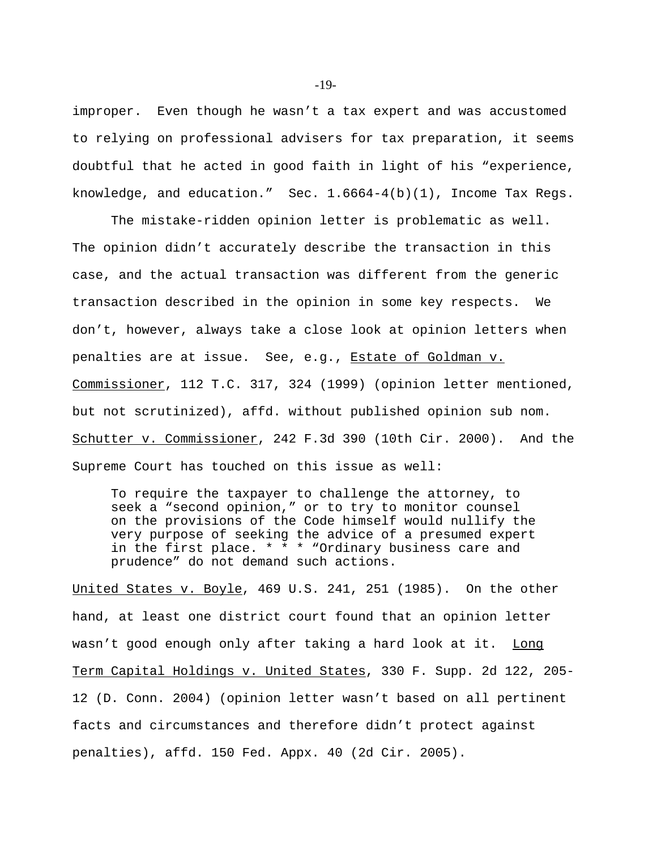improper. Even though he wasn't a tax expert and was accustomed to relying on professional advisers for tax preparation, it seems doubtful that he acted in good faith in light of his "experience, knowledge, and education." Sec. 1.6664-4(b)(1), Income Tax Regs.

The mistake-ridden opinion letter is problematic as well. The opinion didn't accurately describe the transaction in this case, and the actual transaction was different from the generic transaction described in the opinion in some key respects. We don't, however, always take a close look at opinion letters when penalties are at issue. See, e.g., Estate of Goldman v. Commissioner, 112 T.C. 317, 324 (1999) (opinion letter mentioned, but not scrutinized), affd. without published opinion sub nom. Schutter v. Commissioner, 242 F.3d 390 (10th Cir. 2000). And the Supreme Court has touched on this issue as well:

To require the taxpayer to challenge the attorney, to seek a "second opinion," or to try to monitor counsel on the provisions of the Code himself would nullify the very purpose of seeking the advice of a presumed expert in the first place. \* \* \* "Ordinary business care and prudence" do not demand such actions.

United States v. Boyle, 469 U.S. 241, 251 (1985). On the other hand, at least one district court found that an opinion letter wasn't good enough only after taking a hard look at it. Long Term Capital Holdings v. United States, 330 F. Supp. 2d 122, 205- 12 (D. Conn. 2004) (opinion letter wasn't based on all pertinent facts and circumstances and therefore didn't protect against penalties), affd. 150 Fed. Appx. 40 (2d Cir. 2005).

-19-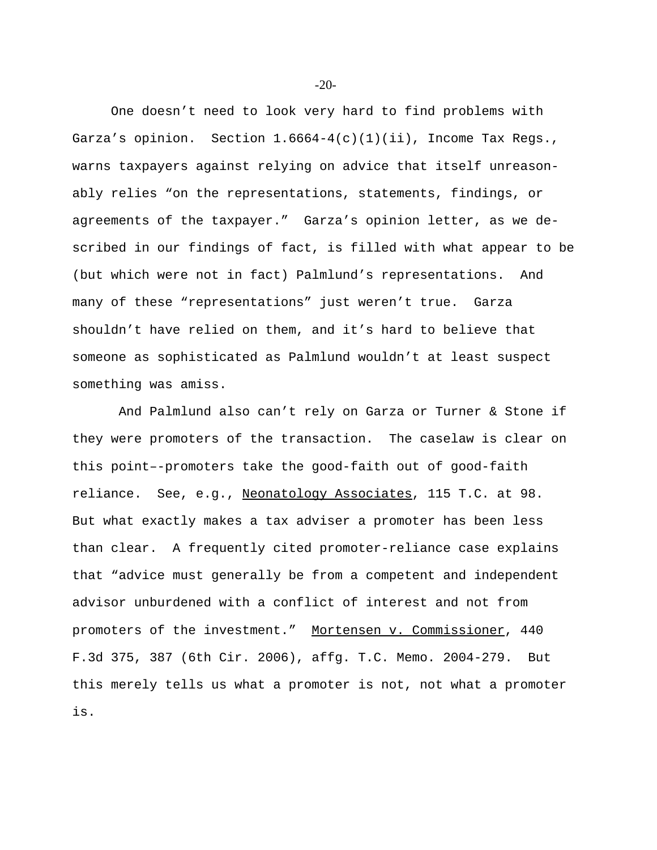One doesn't need to look very hard to find problems with Garza's opinion. Section  $1.6664-4(c)(1)(ii)$ , Income Tax Regs., warns taxpayers against relying on advice that itself unreasonably relies "on the representations, statements, findings, or agreements of the taxpayer." Garza's opinion letter, as we described in our findings of fact, is filled with what appear to be (but which were not in fact) Palmlund's representations. And many of these "representations" just weren't true. Garza shouldn't have relied on them, and it's hard to believe that someone as sophisticated as Palmlund wouldn't at least suspect something was amiss.

 And Palmlund also can't rely on Garza or Turner & Stone if they were promoters of the transaction. The caselaw is clear on this point–-promoters take the good-faith out of good-faith reliance. See, e.g., Neonatology Associates, 115 T.C. at 98. But what exactly makes a tax adviser a promoter has been less than clear. A frequently cited promoter-reliance case explains that "advice must generally be from a competent and independent advisor unburdened with a conflict of interest and not from promoters of the investment." Mortensen v. Commissioner, 440 F.3d 375, 387 (6th Cir. 2006), affg. T.C. Memo. 2004-279. But this merely tells us what a promoter is not, not what a promoter is.

-20-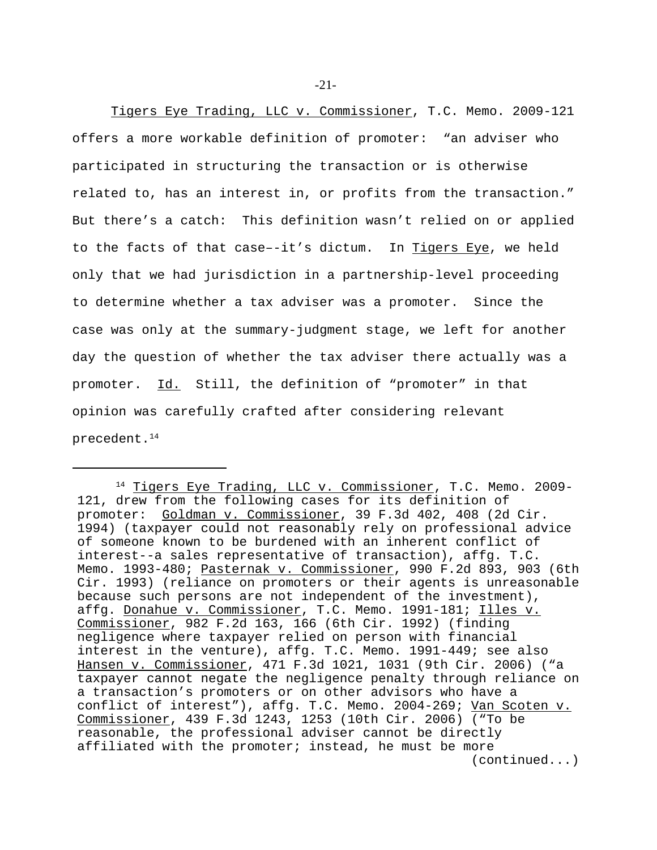Tigers Eye Trading, LLC v. Commissioner, T.C. Memo. 2009-121 offers a more workable definition of promoter: "an adviser who participated in structuring the transaction or is otherwise related to, has an interest in, or profits from the transaction." But there's a catch: This definition wasn't relied on or applied to the facts of that case--it's dictum. In Tigers Eye, we held only that we had jurisdiction in a partnership-level proceeding to determine whether a tax adviser was a promoter. Since the case was only at the summary-judgment stage, we left for another day the question of whether the tax adviser there actually was a promoter. Id. Still, the definition of "promoter" in that opinion was carefully crafted after considering relevant precedent.<sup>14</sup>

<sup>&</sup>lt;sup>14</sup> Tigers Eye Trading, LLC v. Commissioner, T.C. Memo. 2009-121, drew from the following cases for its definition of promoter: Goldman v. Commissioner, 39 F.3d 402, 408 (2d Cir. 1994) (taxpayer could not reasonably rely on professional advice of someone known to be burdened with an inherent conflict of interest--a sales representative of transaction), affg. T.C. Memo. 1993-480; Pasternak v. Commissioner, 990 F.2d 893, 903 (6th Cir. 1993) (reliance on promoters or their agents is unreasonable because such persons are not independent of the investment), affg. Donahue v. Commissioner, T.C. Memo. 1991-181; Illes v. Commissioner, 982 F.2d 163, 166 (6th Cir. 1992) (finding negligence where taxpayer relied on person with financial interest in the venture), affg. T.C. Memo. 1991-449; see also Hansen v. Commissioner, 471 F.3d 1021, 1031 (9th Cir. 2006) ("a taxpayer cannot negate the negligence penalty through reliance on a transaction's promoters or on other advisors who have a conflict of interest"), affg. T.C. Memo. 2004-269; Van Scoten v. Commissioner, 439 F.3d 1243, 1253 (10th Cir. 2006) ("To be reasonable, the professional adviser cannot be directly affiliated with the promoter; instead, he must be more (continued...)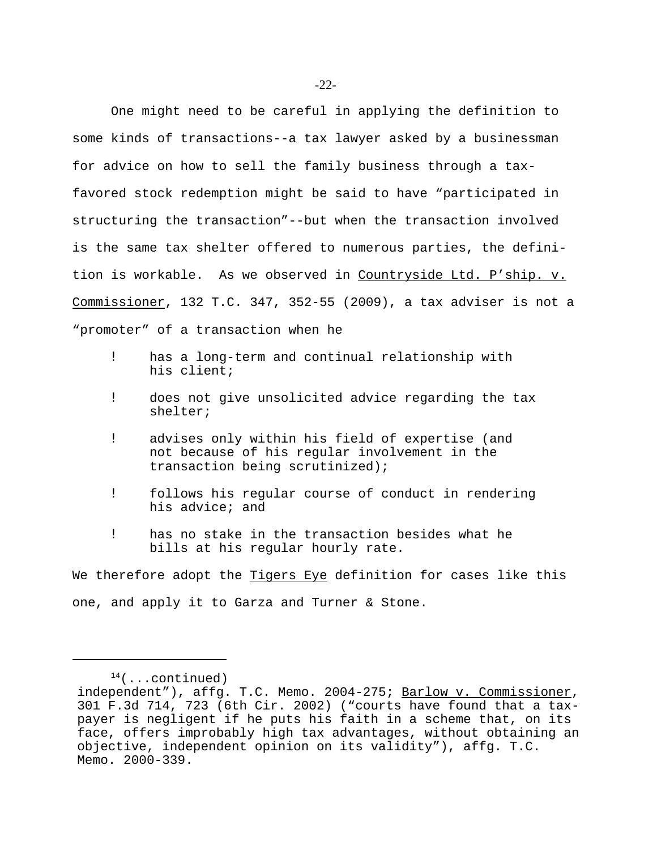One might need to be careful in applying the definition to some kinds of transactions--a tax lawyer asked by a businessman for advice on how to sell the family business through a taxfavored stock redemption might be said to have "participated in structuring the transaction"--but when the transaction involved

is the same tax shelter offered to numerous parties, the definition is workable. As we observed in Countryside Ltd. P'ship. v. Commissioner, 132 T.C. 347, 352-55 (2009), a tax adviser is not a "promoter" of a transaction when he

- ! has a long-term and continual relationship with his client;
- ! does not give unsolicited advice regarding the tax shelter;
- ! advises only within his field of expertise (and not because of his regular involvement in the transaction being scrutinized);
- ! follows his regular course of conduct in rendering his advice; and
- ! has no stake in the transaction besides what he bills at his regular hourly rate.

We therefore adopt the Tigers Eye definition for cases like this one, and apply it to Garza and Turner & Stone.

 $14$ (...continued)

independent"), affg. T.C. Memo. 2004-275; Barlow v. Commissioner, 301 F.3d 714, 723 (6th Cir. 2002) ("courts have found that a taxpayer is negligent if he puts his faith in a scheme that, on its face, offers improbably high tax advantages, without obtaining an objective, independent opinion on its validity"), affg. T.C. Memo. 2000-339.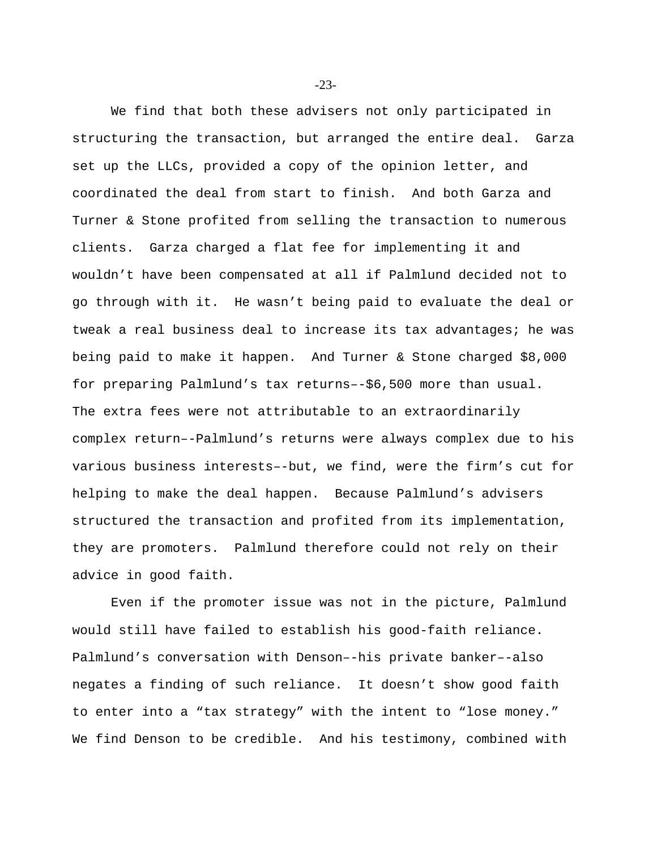We find that both these advisers not only participated in structuring the transaction, but arranged the entire deal. Garza set up the LLCs, provided a copy of the opinion letter, and coordinated the deal from start to finish. And both Garza and Turner & Stone profited from selling the transaction to numerous clients. Garza charged a flat fee for implementing it and wouldn't have been compensated at all if Palmlund decided not to go through with it. He wasn't being paid to evaluate the deal or tweak a real business deal to increase its tax advantages; he was being paid to make it happen. And Turner & Stone charged \$8,000 for preparing Palmlund's tax returns–-\$6,500 more than usual. The extra fees were not attributable to an extraordinarily complex return–-Palmlund's returns were always complex due to his various business interests–-but, we find, were the firm's cut for helping to make the deal happen. Because Palmlund's advisers structured the transaction and profited from its implementation, they are promoters. Palmlund therefore could not rely on their advice in good faith.

Even if the promoter issue was not in the picture, Palmlund would still have failed to establish his good-faith reliance. Palmlund's conversation with Denson–-his private banker–-also negates a finding of such reliance. It doesn't show good faith to enter into a "tax strategy" with the intent to "lose money." We find Denson to be credible. And his testimony, combined with

-23-